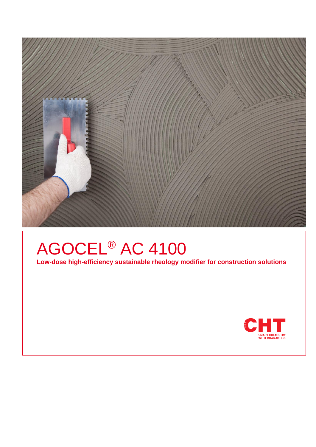

# AGOCEL® AC 4100

**Low-dose high-efficiency sustainable rheology modifier for construction solutions** 

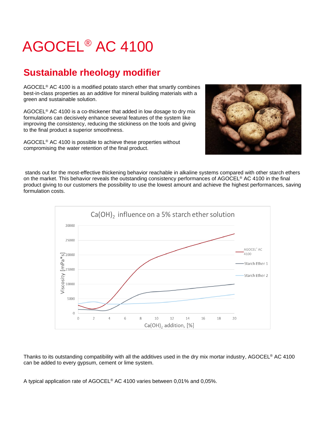# AGOCEL® AC 4100

### **Sustainable rheology modifier**

AGOCEL® AC 4100 is a modified potato starch ether that smartly combines best-in-class properties as an additive for mineral building materials with a green and sustainable solution.

AGOCEL® AC 4100 is a co-thickener that added in low dosage to dry mix formulations can decisively enhance several features of the system like improving the consistency, reducing the stickiness on the tools and giving to the final product a superior smoothness.

AGOCEL® AC 4100 is possible to achieve these properties without compromising the water retention of the final product.



stands out for the most-effective thickening behavior reachable in alkaline systems compared with other starch ethers on the market. This behavior reveals the outstanding consistency performances of AGOCEL® AC 4100 in the final product giving to our customers the possibility to use the lowest amount and achieve the highest performances, saving formulation costs.



Thanks to its outstanding compatibility with all the additives used in the dry mix mortar industry, AGOCEL® AC 4100 can be added to every gypsum, cement or lime system.

A typical application rate of AGOCEL® AC 4100 varies between 0,01% and 0,05%.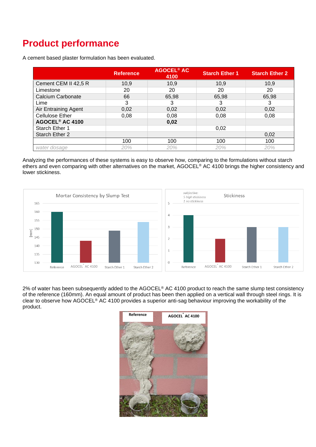## **Product performance**

A cement based plaster formulation has been evaluated.

|                             | <b>Reference</b> | <b>AGOCEL<sup>®</sup> AC</b><br>4100 | <b>Starch Ether 1</b> | <b>Starch Ether 2</b> |
|-----------------------------|------------------|--------------------------------------|-----------------------|-----------------------|
| Cement CEM II 42,5 R        | 10,9             | 10,9                                 | 10,9                  | 10,9                  |
| Limestone                   | 20               | 20                                   | 20                    | 20                    |
| <b>Calcium Carbonate</b>    | 66               | 65,98                                | 65,98                 | 65,98                 |
| Lime                        | 3                | З                                    | 3                     | 3                     |
| Air Entraining Agent        | 0,02             | 0,02                                 | 0,02                  | 0,02                  |
| <b>Cellulose Ether</b>      | 0,08             | 0,08                                 | 0,08                  | 0,08                  |
| AGOCEL <sup>®</sup> AC 4100 |                  | 0,02                                 |                       |                       |
| Starch Ether 1              |                  |                                      | 0,02                  |                       |
| Starch Ether 2              |                  |                                      |                       | 0,02                  |
|                             | 100              | 100                                  | 100                   | 100                   |
| water dosage                | 20%              | 20%                                  | 20%                   | 20%                   |

Analyzing the performances of these systems is easy to observe how, comparing to the formulations without starch ethers and even comparing with other alternatives on the market, AGOCEL® AC 4100 brings the higher consistency and lower stickiness.



2% of water has been subsequently added to the AGOCEL® AC 4100 product to reach the same slump test consistency of the reference (160mm). An equal amount of product has been then applied on a vertical wall through steel rings. It is clear to observe how AGOCEL® AC 4100 provides a superior anti-sag behaviour improving the workability of the product.